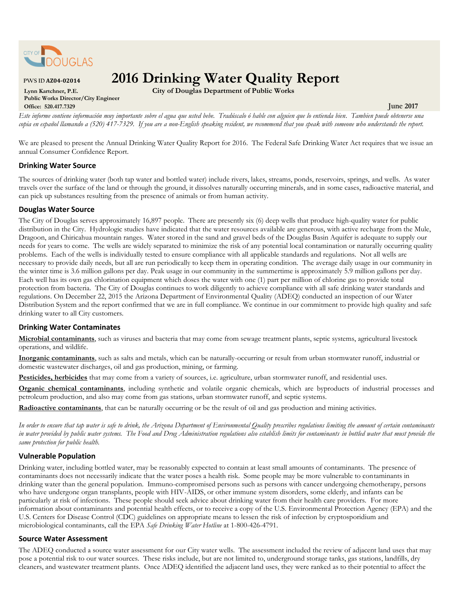

# **PWS ID AZ04-02014 2016 Drinking Water Quality Report**

**Public Works Director/City Engineer Office: 520.417.7329 June 2017**

**Lynn Kartchner, P.E. City of Douglas Department of Public Works**

*Este informe contiene información muy importante sobre el agua que usted bebe. Tradúscalo ó hable con alguien que lo entienda bien*. *Tambien puede obtenerse una copia en español llamando a (520) 417-7329. If you are a non-English speaking resident, we recommend that you speak with someone who understands the report.* 

We are pleased to present the Annual Drinking Water Quality Report for 2016. The Federal Safe Drinking Water Act requires that we issue an annual Consumer Confidence Report.

## **Drinking Water Source**

The sources of drinking water (both tap water and bottled water) include rivers, lakes, streams, ponds, reservoirs, springs, and wells. As water travels over the surface of the land or through the ground, it dissolves naturally occurring minerals, and in some cases, radioactive material, and can pick up substances resulting from the presence of animals or from human activity.

## **Douglas Water Source**

The City of Douglas serves approximately 16,897 people. There are presently six (6) deep wells that produce high-quality water for public distribution in the City. Hydrologic studies have indicated that the water resources available are generous, with active recharge from the Mule, Dragoon, and Chiricahua mountain ranges. Water stored in the sand and gravel beds of the Douglas Basin Aquifer is adequate to supply our needs for years to come. The wells are widely separated to minimize the risk of any potential local contamination or naturally occurring quality problems. Each of the wells is individually tested to ensure compliance with all applicable standards and regulations. Not all wells are necessary to provide daily needs, but all are run periodically to keep them in operating condition. The average daily usage in our community in the winter time is 3.6 million gallons per day. Peak usage in our community in the summertime is approximately 5.9 million gallons per day. Each well has its own gas chlorination equipment which doses the water with one (1) part per million of chlorine gas to provide total protection from bacteria. The City of Douglas continues to work diligently to achieve compliance with all safe drinking water standards and regulations. On December 22, 2015 the Arizona Department of Environmental Quality (ADEQ) conducted an inspection of our Water Distribution System and the report confirmed that we are in full compliance. We continue in our commitment to provide high quality and safe drinking water to all City customers.

## **Drinking Water Contaminates**

 **Microbial contaminants**, such as viruses and bacteria that may come from sewage treatment plants, septic systems, agricultural livestock operations, and wildlife.

 **Inorganic contaminants**, such as salts and metals, which can be naturally-occurring or result from urban stormwater runoff, industrial or domestic wastewater discharges, oil and gas production, mining, or farming.

**Pesticides, herbicides** that may come from a variety of sources, i.e. agriculture, urban stormwater runoff, and residential uses.

 **Organic chemical contaminants**, including synthetic and volatile organic chemicals, which are byproducts of industrial processes and petroleum production, and also may come from gas stations, urban stormwater runoff, and septic systems.

**Radioactive contaminants**, that can be naturally occurring or be the result of oil and gas production and mining activities.

 *In order to ensure that tap water is safe to drink, the Arizona Department of Environmental Quality prescribes regulations limiting the amount of certain contaminants in water provided by public water systems. The Food and Drug Administration regulations also establish limits for contaminants in bottled water that must provide the same protection for public health.*

## **Vulnerable Population**

Drinking water, including bottled water, may be reasonably expected to contain at least small amounts of contaminants. The presence of contaminants does not necessarily indicate that the water poses a health risk. Some people may be more vulnerable to contaminants in drinking water than the general population. Immuno-compromised persons such as persons with cancer undergoing chemotherapy, persons who have undergone organ transplants, people with HIV-AIDS, or other immune system disorders, some elderly, and infants can be particularly at risk of infections. These people should seek advice about drinking water from their health care providers. For more information about contaminants and potential health effects, or to receive a copy of the U.S. Environmental Protection Agency (EPA) and the U.S. Centers for Disease Control (CDC) guidelines on appropriate means to lessen the risk of infection by cryptosporidium and microbiological contaminants, call the EPA *Safe Drinking Water Hotline* at 1-800-426-4791.

## **Source Water Assessment**

The ADEQ conducted a source water assessment for our City water wells. The assessment included the review of adjacent land uses that may pose a potential risk to our water sources. These risks include, but are not limited to, underground storage tanks, gas stations, landfills, dry cleaners, and wastewater treatment plants. Once ADEQ identified the adjacent land uses, they were ranked as to their potential to affect the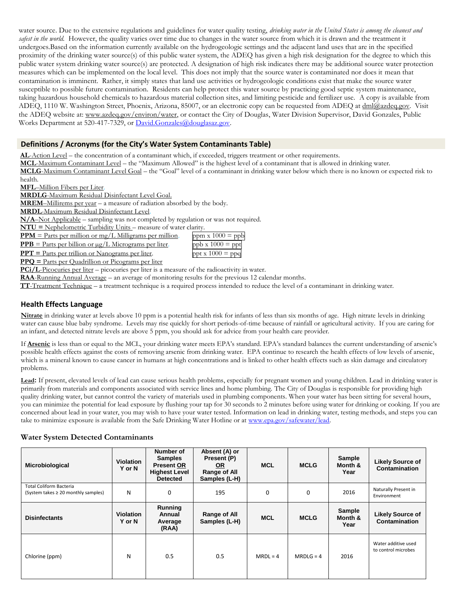water source. Due to the extensive regulations and guidelines for water quality testing, *drinking water in the United States is among the cleanest and safest in the world.* However, the quality varies over time due to changes in the water source from which it is drawn and the treatment it undergoes.Based on the information currently available on the hydrogeologic settings and the adjacent land uses that are in the specified proximity of the drinking water source(s) of this public water system, the ADEQ has given a high risk designation for the degree to which this public water system drinking water source(s) are protected. A designation of high risk indicates there may be additional source water protection measures which can be implemented on the local level. This does not imply that the source water is contaminated nor does it mean that contamination is imminent. Rather, it simply states that land use activities or hydrogeologic conditions exist that make the source water susceptible to possible future contamination. Residents can help protect this water source by practicing good septic system maintenance, taking hazardous household chemicals to hazardous material collection sites, and limiting pesticide and fertilizer use. A copy is available from ADEQ, 1110 W. Washington Street, Phoenix, Arizona, 85007, or an electronic copy can be requested from ADEQ at [dml@azdeq.gov.](mailto:dml@azdeq.gov) Visit the ADEQ website at: www.azdeq.gov/environ/water, or contact the City of Douglas, Water Division Supervisor, David Gonzales, Public Works Department at 520-417-7329, or [David.Gonzales@douglasaz.gov.](mailto:David.Gonzales@douglasaz.gov)

## **Definitions / Acronyms (for the City's Water System Contaminants Table)**

**AL**-Action Level – the concentration of a contaminant which, if exceeded, triggers treatment or other requirements.

**MCL**-Maximum Contaminant Level – the "Maximum Allowed" is the highest level of a contaminant that is allowed in drinking water.

**MCLG**-Maximum Contaminant Level Goal – the "Goal" level of a contaminant in drinking water below which there is no known or expected risk to health.

**MFL**–Million Fibers per Liter.

**MRDLG**-Maximum Residual Disinfectant Level Goal.

**MREM**–Millirems per year – a measure of radiation absorbed by the body.

**MRDL**-Maximum Residual Disinfectant Level.

**N/A**–Not Applicable – sampling was not completed by regulation or was not required.

**NTU =** Nephelometric Turbidity Units – measure of water clarity.

 $PPM$  = Parts per million or mg/L Milligrams per million. **PPB** = Parts per billion or  $\mu$ g/L Micrograms per liter.

| ppm $x 1000 =$ ppb                |
|-----------------------------------|
| $ppb \times 1000 = \overline{pp}$ |
| ppt x $1000 \equiv$ pp            |

 $PPT$  = Parts per trillion or Nanograms per liter. **PPQ =** Parts per Quadrillion or Picograms per liter

**PCi/L**-Picocuries per liter – picocuries per liter is a measure of the radioactivity in water.

**RAA**-Running Annual Average – an average of monitoring results for the previous 12 calendar months.

**TT**-Treatment Technique – a treatment technique is a required process intended to reduce the level of a contaminant in drinking water.

## **Health Effects Language**

**Nitrate** in drinking water at levels above 10 ppm is a potential health risk for infants of less than six months of age. High nitrate levels in drinking water can cause blue baby syndrome. Levels may rise quickly for short periods-of-time because of rainfall or agricultural activity. If you are caring for an infant, and detected nitrate levels are above 5 ppm, you should ask for advice from your health care provider.

If **Arsenic** is less than or equal to the MCL, your drinking water meets EPA's standard. EPA's standard balances the current understanding of arsenic's possible health effects against the costs of removing arsenic from drinking water. EPA continue to research the health effects of low levels of arsenic, which is a mineral known to cause cancer in humans at high concentrations and is linked to other health effects such as skin damage and circulatory problems.

**Lead:** If present, elevated levels of lead can cause serious health problems, especially for pregnant women and young children. Lead in drinking water is primarily from materials and components associated with service lines and home plumbing. The City of Douglas is responsible for providing high quality drinking water, but cannot control the variety of materials used in plumbing components. When your water has been sitting for several hours, you can minimize the potential for lead exposure by flushing your tap for 30 seconds to 2 minutes before using water for drinking or cooking. If you are concerned about lead in your water, you may wish to have your water tested. Information on lead in drinking water, testing methods, and steps you can take to minimize exposure is available from the Safe Drinking Water Hotline or at [www.epa.gov/safewater/lead.](http://www.epa.gov/safewater/lead)

## **Water System Detected Contaminants**

| Microbiological                                                       | <b>Violation</b><br>Y or N | Number of<br><b>Samples</b><br><b>Present OR</b><br><b>Highest Level</b><br><b>Detected</b> | Absent (A) or<br>Present (P)<br>OR<br>Range of All<br>Samples (L-H) | <b>MCL</b> | <b>MCLG</b> | Sample<br>Month &<br>Year | <b>Likely Source of</b><br><b>Contamination</b> |
|-----------------------------------------------------------------------|----------------------------|---------------------------------------------------------------------------------------------|---------------------------------------------------------------------|------------|-------------|---------------------------|-------------------------------------------------|
| <b>Total Coliform Bacteria</b><br>(System takes ≥ 20 monthly samples) | N                          | 0                                                                                           | 195                                                                 | 0          | 0           | 2016                      | Naturally Present in<br>Environment             |
| <b>Disinfectants</b>                                                  | <b>Violation</b><br>Y or N | <b>Running</b><br>Annual<br>Average<br>(RAA)                                                | Range of All<br>Samples (L-H)                                       | <b>MCL</b> | <b>MCLG</b> | Sample<br>Month &<br>Year | <b>Likely Source of</b><br>Contamination        |
| Chlorine (ppm)                                                        | N                          | 0.5                                                                                         | 0.5                                                                 | $MRDL = 4$ | $MRDLG = 4$ | 2016                      | Water additive used<br>to control microbes      |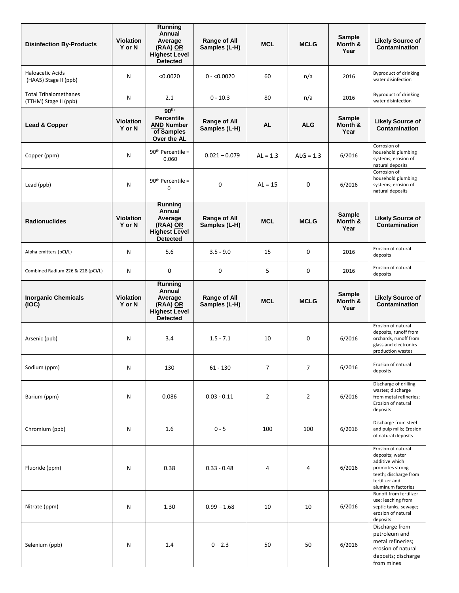| <b>Disinfection By-Products</b>                       | <b>Violation</b><br>Y or N | Running<br>Annual<br>Average<br>(RAA) OR<br><b>Highest Level</b><br><b>Detected</b>     | <b>Range of All</b><br>Samples (L-H) | <b>MCL</b>     | <b>MCLG</b>    | Sample<br>Month &<br>Year        | <b>Likely Source of</b><br><b>Contamination</b>                                                                                             |
|-------------------------------------------------------|----------------------------|-----------------------------------------------------------------------------------------|--------------------------------------|----------------|----------------|----------------------------------|---------------------------------------------------------------------------------------------------------------------------------------------|
| Haloacetic Acids<br>(HAA5) Stage II (ppb)             | N                          | < 0.0020                                                                                | $0 - 0.0020$                         | 60             | n/a            | 2016                             | Byproduct of drinking<br>water disinfection                                                                                                 |
| <b>Total Trihalomethanes</b><br>(TTHM) Stage II (ppb) | N                          | 2.1                                                                                     | $0 - 10.3$                           | 80             | n/a            | 2016                             | <b>Byproduct of drinking</b><br>water disinfection                                                                                          |
| Lead & Copper                                         | <b>Violation</b><br>Y or N | 90 <sup>th</sup><br><b>Percentile</b><br><b>AND Number</b><br>of Samples<br>Over the AL | <b>Range of All</b><br>Samples (L-H) | <b>AL</b>      | <b>ALG</b>     | <b>Sample</b><br>Month &<br>Year | <b>Likely Source of</b><br><b>Contamination</b>                                                                                             |
| Copper (ppm)                                          | N                          | $90th$ Percentile =<br>0.060                                                            | $0.021 - 0.079$                      | $AL = 1.3$     | $ALG = 1.3$    | 6/2016                           | Corrosion of<br>household plumbing<br>systems; erosion of<br>natural deposits                                                               |
| Lead (ppb)                                            | N                          | 90 <sup>th</sup> Percentile =<br>0                                                      | $\mathbf 0$                          | $AI = 15$      | 0              | 6/2016                           | Corrosion of<br>household plumbing<br>systems; erosion of<br>natural deposits                                                               |
| <b>Radionuclides</b>                                  | <b>Violation</b><br>Y or N | Running<br>Annual<br>Average<br>(RAA) OR<br><b>Highest Level</b><br><b>Detected</b>     | <b>Range of All</b><br>Samples (L-H) | <b>MCL</b>     | <b>MCLG</b>    | Sample<br>Month &<br>Year        | <b>Likely Source of</b><br><b>Contamination</b>                                                                                             |
| Alpha emitters (pCi/L)                                | N                          | 5.6                                                                                     | $3.5 - 9.0$                          | 15             | 0              | 2016                             | Erosion of natural<br>deposits                                                                                                              |
| Combined Radium 226 & 228 (pCi/L)                     | N                          | 0                                                                                       | 0                                    | 5              | 0              | 2016                             | Erosion of natural<br>deposits                                                                                                              |
| <b>Inorganic Chemicals</b><br>(IOC)                   | <b>Violation</b><br>Y or N | Running<br>Annual<br>Average<br>(RAA) OR<br><b>Highest Level</b><br><b>Detected</b>     | Range of All<br>Samples (L-H)        | <b>MCL</b>     | <b>MCLG</b>    | Sample<br>Month &<br>Year        | <b>Likely Source of</b><br><b>Contamination</b>                                                                                             |
| Arsenic (ppb)                                         | N                          | 3.4                                                                                     | $1.5 - 7.1$                          | 10             | 0              | 6/2016                           | Erosion of natural<br>deposits, runoff from<br>orchards, runoff from<br>glass and electronics<br>production wastes                          |
| Sodium (ppm)                                          | N                          | 130                                                                                     | $61 - 130$                           | $\overline{7}$ | $\overline{7}$ | 6/2016                           | Erosion of natural<br>deposits                                                                                                              |
| Barium (ppm)                                          | N                          | 0.086                                                                                   | $0.03 - 0.11$                        | $\overline{2}$ | 2              | 6/2016                           | Discharge of drilling<br>wastes; discharge<br>from metal refineries;<br>Erosion of natural<br>deposits                                      |
| Chromium (ppb)                                        | N                          | 1.6                                                                                     | $0 - 5$                              | 100            | 100            | 6/2016                           | Discharge from steel<br>and pulp mills; Erosion<br>of natural deposits                                                                      |
| Fluoride (ppm)                                        | N                          | 0.38                                                                                    | $0.33 - 0.48$                        | 4              | 4              | 6/2016                           | Erosion of natural<br>deposits; water<br>additive which<br>promotes strong<br>teeth; discharge from<br>fertilizer and<br>aluminum factories |
| Nitrate (ppm)                                         | N                          | 1.30                                                                                    | $0.99 - 1.68$                        | 10             | 10             | 6/2016                           | Runoff from fertilizer<br>use; leaching from<br>septic tanks, sewage;<br>erosion of natural<br>deposits                                     |
| Selenium (ppb)                                        | N                          | 1.4                                                                                     | $0 - 2.3$                            | 50             | 50             | 6/2016                           | Discharge from<br>petroleum and<br>metal refineries;<br>erosion of natural<br>deposits; discharge<br>from mines                             |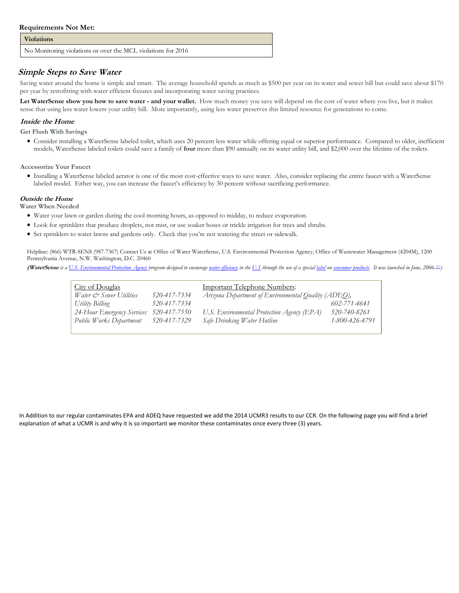#### **Requirements Not Met:**

#### **Violations**

No Monitoring violations or over the MCL violations for 2016

## **Simple Steps to Save Water**

Saving water around the home is simple and smart. The average household spends as much as \$500 per year on its water and sewer bill but could save about \$170 per year by retrofitting with water efficient fixtures and incorporating water saving practices.

**Let WaterSense show you how to save water - and your wallet.** How much money you save will depend on the cost of water where you live, but it makes sense that using less water lowers your utility bill. More importantly, using less water preserves this limited resource for generations to come.

#### **Inside the Home**

 **Get Flush With Savings**

 Consider installing a WaterSense labeled toilet, which uses 20 percent less water while offering equal or superior performance. Compared to older, inefficient models, WaterSense labeled toilets could save a family of **four** more than \$90 annually on its water utility bill, and \$2,000 over the lifetime of the toilets.

 **Accessorize Your Faucet**

 Installing a WaterSense labeled aerator is one of the most cost-effective ways to save water. Also, consider replacing the entire faucet with a WaterSense labeled model. Either way, you can increase the faucet's efficiency by 30 percent without sacrificing performance.

#### **Outside the Home Water When Needed**

- Water your lawn or garden during the cool morning hours, as opposed to midday, to reduce evaporation.
- Look for sprinklers that produce droplets, not mist, or use soaker hoses or trickle irrigation for trees and shrubs.
- Set sprinklers to water lawns and gardens only. Check that you're not watering the street or sidewalk.

Helpline: (866) WTR-SENS (987-7367) [Contact Us](http://epa.gov/watersense/contact_us.html) a[t Office of Water](http://www.epa.gov/ow/) WaterSense, U.S. Environmental Protection Agency, Office of Wastewater Management (4204M), 1200 Pennsylvania Avenue, N.W. Washington, D.C. 20460

(WaterSense is [a U.S. Environmental Protection Agency](http://en.wikipedia.org/wiki/U.S._Environmental_Protection_Agency) program designed to encourag[e water efficiency](http://en.wikipedia.org/wiki/Water_efficiency) in th[e U.S](http://en.wikipedia.org/wiki/United_States) through the use of a specia[l label](http://en.wikipedia.org/wiki/Label) o[n consumer](http://en.wikipedia.org/wiki/Consumer) [products.](http://en.wikipedia.org/wiki/Product_(business)) It was launched in June, 2006.<sup>[13]</sup>

| <b>City of Douglas</b>                  |              | <b>Important Telephone Numbers:</b>                 |                |  |
|-----------------------------------------|--------------|-----------------------------------------------------|----------------|--|
| <i>Water &amp; Sewer Utilities</i>      | 520-417-7334 | Arizona Department of Environmental Quality (ADEQ), |                |  |
| Utility Billing                         | 520-417-7334 |                                                     | 602-771-4641   |  |
| 24-Hour Emergency Services 520-417-7550 |              | U.S. Environmental Protection Agency (EPA)          | 520-740-8261   |  |
| Public Works Department 520-417-7329    |              | Safe Drinking Water Hotline                         | 1-800-426-4791 |  |
|                                         |              |                                                     |                |  |

 In Addition to our regular contaminates EPA and ADEQ have requested we add the 2014 UCMR3 results to our CCR. On the following page you will find a brief explanation of what a UCMR is and why it is so important we monitor these contaminates once every three (3) years.